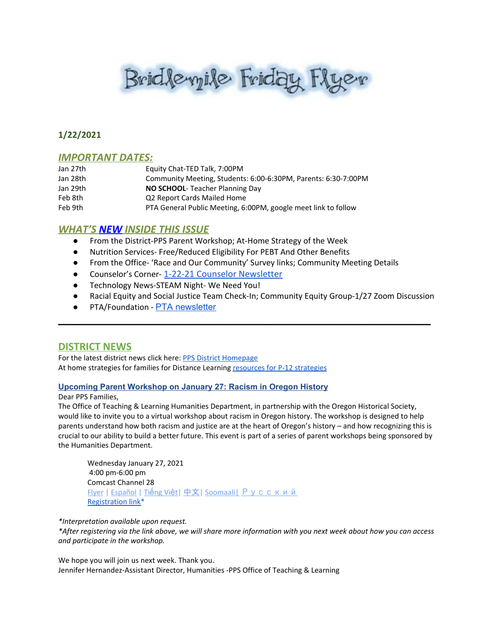# Brid levyile Friday Flyer

### **1/22/2021**

#### *IMPORTANT DATES:*

| Jan 27th | Equity Chat-TED Talk, 7:00PM                                   |
|----------|----------------------------------------------------------------|
| Jan 28th | Community Meeting, Students: 6:00-6:30PM, Parents: 6:30-7:00PM |
| Jan 29th | <b>NO SCHOOL-</b> Teacher Planning Day                         |
| Feb 8th  | Q2 Report Cards Mailed Home                                    |
| Feb 9th  | PTA General Public Meeting, 6:00PM, google meet link to follow |

#### *WHAT'S NEW INSIDE THIS ISSUE*

- From the District-PPS Parent Workshop; At-Home Strategy of the Week
- Nutrition Services- Free/Reduced Eligibility For PEBT And Other Benefits
- From the Office- 'Race and Our Community' Survey links; Community Meeting Details
- Counselor's Corner- [1-22-21 Counselor Newsletter](https://docs.google.com/document/d/12G3zTr1JxoLCbGmQjeWD4YFqDYg0x-5zMG1r4dS3uuc/edit?usp=sharing)
- Technology News-STEAM Night- We Need You!
- Racial Equity and Social Justice Team Check-In; Community Equity Group-1/27 Zoom Discussion

\_\_\_\_\_\_\_\_\_\_\_\_\_\_\_\_\_\_\_\_\_\_\_\_\_\_\_\_\_\_\_\_\_\_\_\_\_\_\_\_\_\_\_\_\_\_\_\_\_\_\_\_\_\_\_\_\_\_\_\_\_\_\_\_\_\_

PTA/Foundation - PTA [newsletter](https://docs.google.com/document/d/e/2PACX-1vQlZCPHtKxqO7qpJwiwgoeaZ1ERHVLgg6z0JNYJMTulwn7xlOVY_X2I1ZV9nntsGHP57LEZ_uSufaFj/pub)

#### **DISTRICT NEWS**

For the latest district news click here: PPS District [Homepage](https://www.pps.net/portland) At home strategies for families for Distance Learning resources for P-12 [strategies](https://sites.google.com/pps.net/athomestrategies/home)

#### **Upcoming Parent Workshop on January 27: Racism in Oregon History**

#### Dear PPS Families,

The Office of Teaching & Learning Humanities Department, in partnership with the Oregon Historical Society, would like to invite you to a virtual workshop about racism in Oregon history. The workshop is designed to help parents understand how both racism and justice are at the heart of Oregon's history – and how recognizing this is crucial to our ability to build a better future. This event is part of a series of parent workshops being sponsored by the Humanities Department.

Wednesday January 27, 2021 4:00 pm-6:00 pm Comcast Channel 28 **[Flyer](https://drive.google.com/file/d/1d3f-6TGM9IwkZtVDgvrJZKr6d6IXYEm3/view?usp=sharing) | [Español](https://drive.google.com/file/d/1LXbPoFTYkY1qCl7-vMj549eozJfjlLrG/view?usp=sharing) | Tiế[ng](https://drive.google.com/file/d/1dXaMUHfrQg9uF-flrNNUHuL-ULHlYL3X/view?usp=sharing) Việt | [中文](https://drive.google.com/file/d/192Diou3zGPN_ktLY27E8gOmis29NdUyz/view?usp=sharing) | Soomaali | [Русский](https://drive.google.com/file/d/1_iwaXj-4G-kfjl_tHNeLPauXils5bBhU/view?usp=sharing)** [Registration](https://docs.google.com/forms/d/e/1FAIpQLSdZBAnFFzuXt_G5s-EjiOlbMRADI42DOUr2ZMitUnXQBf270w/viewform) link\*

*\*Interpretation available upon request.*

\*After registering via the link above, we will share more information with you next week about how you can access *and participate in the workshop.*

We hope you will join us next week. Thank you. Jennifer Hernandez-Assistant Director, Humanities -PPS Office of Teaching & Learning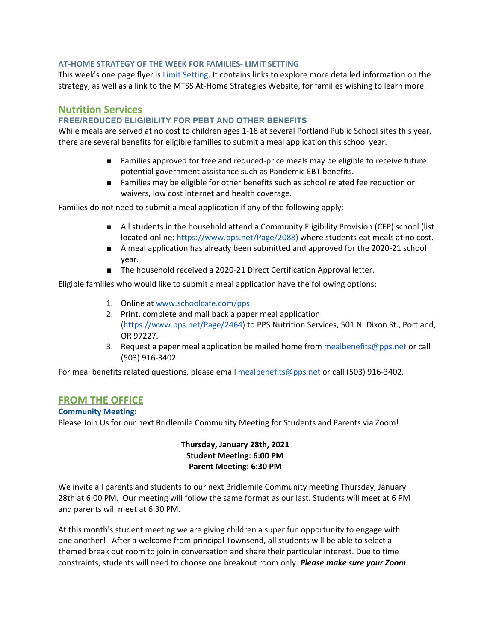#### **AT-HOME STRATEGY OF THE WEEK FOR FAMILIES- LIMIT SETTING**

This week's one [page](https://docs.google.com/presentation/d/1syU3rArW8cleCBe9PMh8cNEYgq9SPCbvbwBvMw7QReI/edit#slide=id.p) flyer is Limit [Setting](https://docs.google.com/presentation/d/1syU3rArW8cleCBe9PMh8cNEYgq9SPCbvbwBvMw7QReI/edit#slide=id.p). It contains links to explore more detailed information on the strategy, as well as a link to the MTSS At-Home Strategies Website, for families wishing to learn more.

#### **Nutrition Services**

#### **FREE/REDUCED ELIGIBILITY FOR PEBT AND OTHER BENEFITS**

While meals are served at no cost to children ages 1-18 at several Portland Public School sites this year, there are several benefits for eligible families to submit a meal application this school year.

- Families approved for free and reduced-price meals may be eligible to receive future potential government assistance such as Pandemic EBT benefits.
- Families may be eligible for other benefits such as school related fee reduction or waivers, low cost internet and health coverage.

Families do not need to submit a meal application if any of the following apply:

- All students in the household attend a Community Eligibility Provision (CEP) school (list located online: <https://www.pps.net/Page/2088>) where students eat meals at no cost.
- A meal application has already been submitted and approved for the 2020-21 school year.
- The household received a 2020-21 Direct Certification Approval letter.

Eligible families who would like to submit a meal application have the following options:

- 1. Online at [www.schoolcafe.com/pps](http://www.schoolcafe.com/pps).
- 2. Print, complete and mail back a paper meal application [\(https://www.pps.net/Page/2464](https://www.pps.net/Page/2464)) to PPS Nutrition Services, 501 N. Dixon St., Portland, OR 97227.
- 3. Request a paper meal application be mailed home from mealbenefits@pps.net or call (503) 916-3402.

For meal benefits related questions, please email mealbenefits@pps.net or call (503) 916-3402.

#### **FROM THE OFFICE**

#### **Community Meeting:**

Please Join Us for our next Bridlemile Community Meeting for Students and Parents via Zoom!

#### **Thursday, January 28th, 2021 Student Meeting: 6:00 PM Parent Meeting: 6:30 PM**

We invite all parents and students to our next Bridlemile Community meeting Thursday, January 28th at 6:00 PM. Our meeting will follow the same format as our last. Students will meet at 6 PM and parents will meet at 6:30 PM.

At this month's student meeting we are giving children a super fun opportunity to engage with one another! After a welcome from principal Townsend, all students will be able to select a themed break out room to join in conversation and share their particular interest. Due to time constraints, students will need to choose one breakout room only. *Please make sure your Zoom*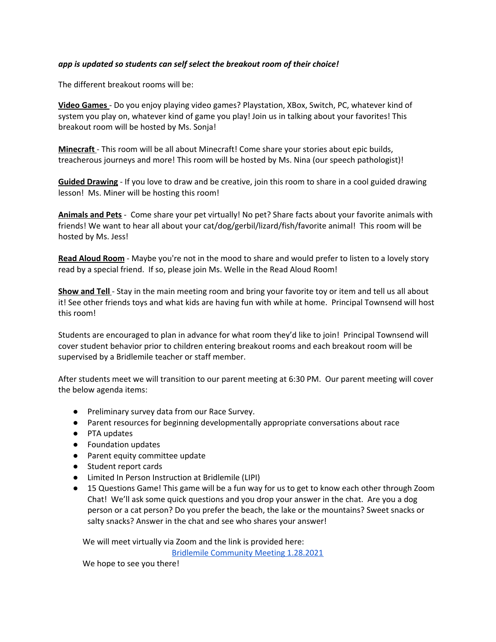#### *app is updated so students can self select the breakout room of their choice!*

The different breakout rooms will be:

**Video Games** - Do you enjoy playing video games? Playstation, XBox, Switch, PC, whatever kind of system you play on, whatever kind of game you play! Join us in talking about your favorites! This breakout room will be hosted by Ms. Sonja!

**Minecraft** - This room will be all about Minecraft! Come share your stories about epic builds, treacherous journeys and more! This room will be hosted by Ms. Nina (our speech pathologist)!

**Guided Drawing** - If you love to draw and be creative, join this room to share in a cool guided drawing lesson! Ms. Miner will be hosting this room!

**Animals and Pets** - Come share your pet virtually! No pet? Share facts about your favorite animals with friends! We want to hear all about your cat/dog/gerbil/lizard/fish/favorite animal! This room will be hosted by Ms. Jess!

**Read Aloud Room** - Maybe you're not in the mood to share and would prefer to listen to a lovely story read by a special friend. If so, please join Ms. Welle in the Read Aloud Room!

**Show and Tell** - Stay in the main meeting room and bring your favorite toy or item and tell us all about it! See other friends toys and what kids are having fun with while at home. Principal Townsend will host this room!

Students are encouraged to plan in advance for what room they'd like to join! Principal Townsend will cover student behavior prior to children entering breakout rooms and each breakout room will be supervised by a Bridlemile teacher or staff member.

After students meet we will transition to our parent meeting at 6:30 PM. Our parent meeting will cover the below agenda items:

- Preliminary survey data from our Race Survey.
- Parent resources for beginning developmentally appropriate conversations about race
- PTA updates
- Foundation updates
- Parent equity committee update
- Student report cards
- Limited In Person Instruction at Bridlemile (LIPI)
- 15 Questions Game! This game will be a fun way for us to get to know each other through Zoom Chat! We'll ask some quick questions and you drop your answer in the chat. Are you a dog person or a cat person? Do you prefer the beach, the lake or the mountains? Sweet snacks or salty snacks? Answer in the chat and see who shares your answer!

We will meet virtually via Zoom and the link is provided here:

Bridlemile [Community](https://pps-net.zoom.us/j/84921397043) Meeting 1.28.2021

We hope to see you there!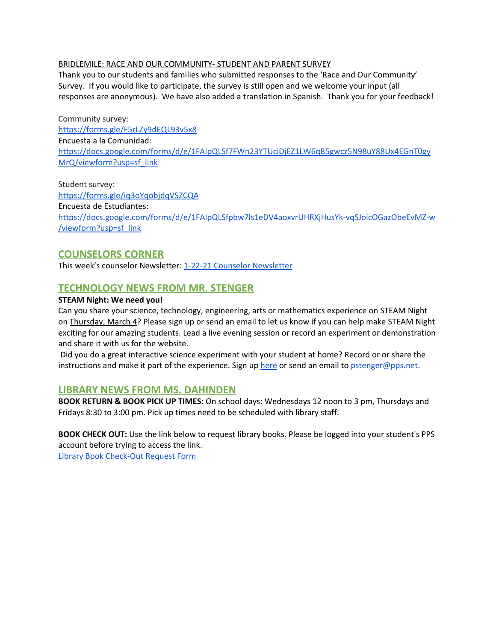#### BRIDLEMILE: RACE AND OUR COMMUNITY- STUDENT AND PARENT SURVEY

Thank you to our students and families who submitted responses to the 'Race and Our Community' Survey. If you would like to participate, the survey is still open and we welcome your input (all responses are anonymous). We have also added a translation in Spanish. Thank you for your feedback!

Community survey: <https://forms.gle/F5rLZy9dEQL93v5x8> Encuesta a la Comunidad: [https://docs.google.com/forms/d/e/1FAIpQLSf7FWn23YTUciDjEZ1LW6qB5gwcz5N98uY88Ux4EGnT0gy](https://docs.google.com/forms/d/e/1FAIpQLSf7FWn23YTUciDjEZ1LW6qB5gwcz5N98uY88Ux4EGnT0gyMrQ/viewform?usp=sf_link) [MrQ/viewform?usp=sf\\_link](https://docs.google.com/forms/d/e/1FAIpQLSf7FWn23YTUciDjEZ1LW6qB5gwcz5N98uY88Ux4EGnT0gyMrQ/viewform?usp=sf_link)

Student survey: <https://forms.gle/iq3oYqobjdqVSZCQA> Encuesta de Estudiantes: [https://docs.google.com/forms/d/e/1FAIpQLSfpbw7ls1eDV4aoxvrUHRXjHusYk-vqSJoicOGazObeEvMZ-w](https://docs.google.com/forms/d/e/1FAIpQLSfpbw7ls1eDV4aoxvrUHRXjHusYk-vqSJoicOGazObeEvMZ-w/viewform?usp=sf_link) [/viewform?usp=sf\\_link](https://docs.google.com/forms/d/e/1FAIpQLSfpbw7ls1eDV4aoxvrUHRXjHusYk-vqSJoicOGazObeEvMZ-w/viewform?usp=sf_link)

# **COUNSELORS CORNER**

This week's counselor [Newsletter](https://docs.google.com/document/d/12G3zTr1JxoLCbGmQjeWD4YFqDYg0x-5zMG1r4dS3uuc/edit?usp=sharing): 1-22-21 Counselor Newsletter

# **TECHNOLOGY NEWS FROM MR. STENGER**

#### **STEAM Night: We need you!**

Can you share your science, technology, engineering, arts or mathematics experience on STEAM Night on Thursday, March 4? Please sign up or send an email to let us know if you can help make STEAM Night exciting for our amazing students. Lead a live evening session or record an experiment or demonstration and share it with us for the website.

Did you do a great interactive science experiment with your student at home? Record or or share the instructions and make it part of the experience. Sign up [here](https://docs.google.com/document/d/1GuHO96LkmsVxxVzZ0Cq97mMDchy7GQr4OvLnC6NvI2c/edit?usp=sharing) or send an email to pstenger@pps.net.

#### **LIBRARY NEWS FROM MS. DAHINDEN**

**BOOK RETURN & BOOK PICK UP TIMES:** On school days: Wednesdays 12 noon to 3 pm, Thursdays and Fridays 8:30 to 3:00 pm. Pick up times need to be scheduled with library staff.

**BOOK CHECK OUT:** Use the link below to request library books. Please be logged into your student's PPS account before trying to access the link.

Library Book [Check-Out](https://docs.google.com/forms/d/1xEGdx-amzrGt6XojZPw1T7-69WS4khrku0Vd_1MJj1g/edit) Request Form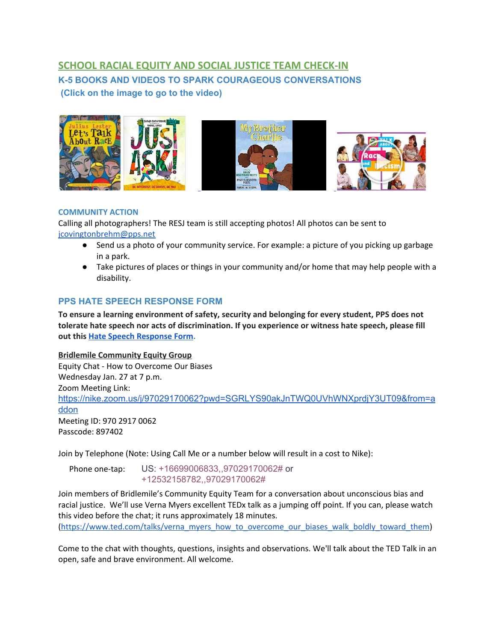# **SCHOOL RACIAL EQUITY AND SOCIAL JUSTICE TEAM CHECK-IN K-5 BOOKS AND VIDEOS TO SPARK COURAGEOUS CONVERSATIONS (Click on the image to go to the video)**



#### **COMMUNITY ACTION**

Calling all photographers! The RESJ team is still accepting photos! All photos can be sent to jcovingtonbrehm@pps.net

- Send us a photo of your community service. For example: a picture of you picking up garbage in a park.
- Take pictures of places or things in your community and/or home that may help people with a disability.

#### **PPS HATE SPEECH RESPONSE FORM**

**To ensure a learning environment of safety, security and belonging for every student, PPS does not tolerate hate speech nor acts of discrimination. If you experience or witness hate speech, please fill out this [H](https://docs.google.com/forms/d/e/1FAIpQLScBgOKMOV-xv4yfPk9DnciUMqkQ7E_Us3JaXcTf_lUIUmWnoA/viewform)ate Speech [Response](https://docs.google.com/forms/d/e/1FAIpQLScBgOKMOV-xv4yfPk9DnciUMqkQ7E_Us3JaXcTf_lUIUmWnoA/viewform) Form.**

#### **Bridlemile Community Equity Group**

Equity Chat - How to Overcome Our Biases Wednesday Jan. 27 at 7 p.m. Zoom Meeting Link: [https://nike.zoom.us/j/97029170062?pwd=SGRLYS90akJnTWQ0UVhWNXprdjY3UT09&from=a](https://nike.zoom.us/j/97029170062?pwd=SGRLYS90akJnTWQ0UVhWNXprdjY3UT09&from=addon) [ddon](https://nike.zoom.us/j/97029170062?pwd=SGRLYS90akJnTWQ0UVhWNXprdjY3UT09&from=addon) Meeting ID: 970 2917 0062 Passcode: 897402

Join by Telephone (Note: Using Call Me or a number below will result in a cost to Nike):

Phone one-tap: US: +16699006833,,97029170062# or +12532158782,,97029170062#

Join members of Bridlemile's Community Equity Team for a conversation about unconscious bias and racial justice. We'll use Verna Myers excellent TEDx talk as a jumping off point. If you can, please watch this video before the chat; it runs approximately 18 minutes.

[\(https://www.ted.com/talks/verna\\_myers\\_how\\_to\\_overcome\\_our\\_biases\\_walk\\_boldly\\_toward\\_them](https://www.ted.com/talks/verna_myers_how_to_overcome_our_biases_walk_boldly_toward_them))

Come to the chat with thoughts, questions, insights and observations. We'll talk about the TED Talk in an open, safe and brave environment. All welcome.